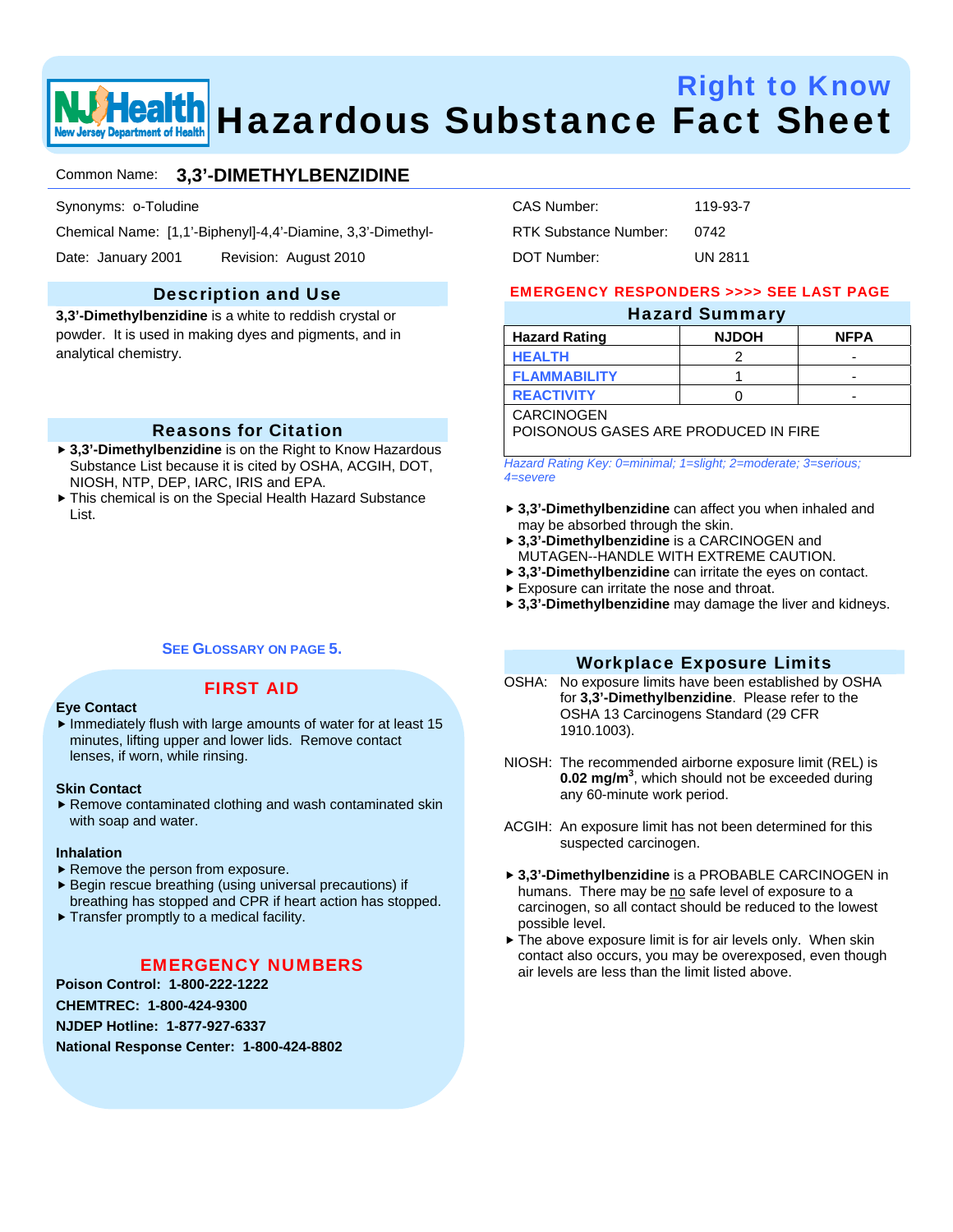

# Right to Know Halth Hazardous Substance Fact Sheet

# Common Name: **3,3'-DIMETHYLBENZIDINE**

#### Synonyms: o-Toludine

Chemical Name: [1,1'-Biphenyl]-4,4'-Diamine, 3,3'-Dimethyl-

Date: January 2001 Revision: August 2010

#### Description and Use

**3,3'-Dimethylbenzidine** is a white to reddish crystal or powder. It is used in making dyes and pigments, and in analytical chemistry.

#### Reasons for Citation

- ▶ 3,3'-Dimethylbenzidine is on the Right to Know Hazardous Substance List because it is cited by OSHA, ACGIH, DOT, NIOSH, NTP, DEP, IARC, IRIS and EPA.
- $\triangleright$  This chemical is on the Special Health Hazard Substance List.

#### **SEE GLOSSARY ON PAGE 5.**

# FIRST AID

#### **Eye Contact**

 $\blacktriangleright$  Immediately flush with large amounts of water for at least 15 minutes, lifting upper and lower lids. Remove contact lenses, if worn, while rinsing.

#### **Skin Contact**

 $\blacktriangleright$  Remove contaminated clothing and wash contaminated skin with soap and water.

#### **Inhalation**

- $\blacktriangleright$  Remove the person from exposure.
- $\blacktriangleright$  Begin rescue breathing (using universal precautions) if breathing has stopped and CPR if heart action has stopped.
- $\blacktriangleright$  Transfer promptly to a medical facility.

#### EMERGENCY NUMBERS

**Poison Control: 1-800-222-1222 CHEMTREC: 1-800-424-9300 NJDEP Hotline: 1-877-927-6337 National Response Center: 1-800-424-8802** 

| CAS Number:           | 119-93-7 |
|-----------------------|----------|
| RTK Substance Number: | 0742     |
| DOT Number:           | UN 2811  |

#### EMERGENCY RESPONDERS >>>> SEE LAST PAGE

| <b>Hazard Summary</b> |              |             |  |
|-----------------------|--------------|-------------|--|
| <b>Hazard Rating</b>  | <b>NJDOH</b> | <b>NFPA</b> |  |
| <b>HEALTH</b>         |              | -           |  |
| <b>FLAMMABILITY</b>   |              | -           |  |
| <b>REACTIVITY</b>     |              | -           |  |

CARCINOGEN

POISONOUS GASES ARE PRODUCED IN FIRE

*Hazard Rating Key: 0=minimal; 1=slight; 2=moderate; 3=serious; 4=severe*

- **► 3,3'-Dimethylbenzidine** can affect you when inhaled and may be absorbed through the skin.
- ▶ 3,3<sup>3</sup>-Dimethylbenzidine is a CARCINOGEN and MUTAGEN--HANDLE WITH EXTREME CAUTION.
- ▶ 3,3'-Dimethylbenzidine can irritate the eyes on contact.
- $\blacktriangleright$  Exposure can irritate the nose and throat.
- ▶ 3,3'-Dimethylbenzidine may damage the liver and kidneys.

#### Workplace Exposure Limits

- OSHA: No exposure limits have been established by OSHA for **3,3'-Dimethylbenzidine**. Please refer to the OSHA 13 Carcinogens Standard (29 CFR 1910.1003).
- NIOSH: The recommended airborne exposure limit (REL) is **0.02 mg/m3** , which should not be exceeded during any 60-minute work period.
- ACGIH: An exposure limit has not been determined for this suspected carcinogen.
- **▶ 3,3'-Dimethylbenzidine** is a PROBABLE CARCINOGEN in humans. There may be no safe level of exposure to a carcinogen, so all contact should be reduced to the lowest possible level.
- $\blacktriangleright$  The above exposure limit is for air levels only. When skin contact also occurs, you may be overexposed, even though air levels are less than the limit listed above.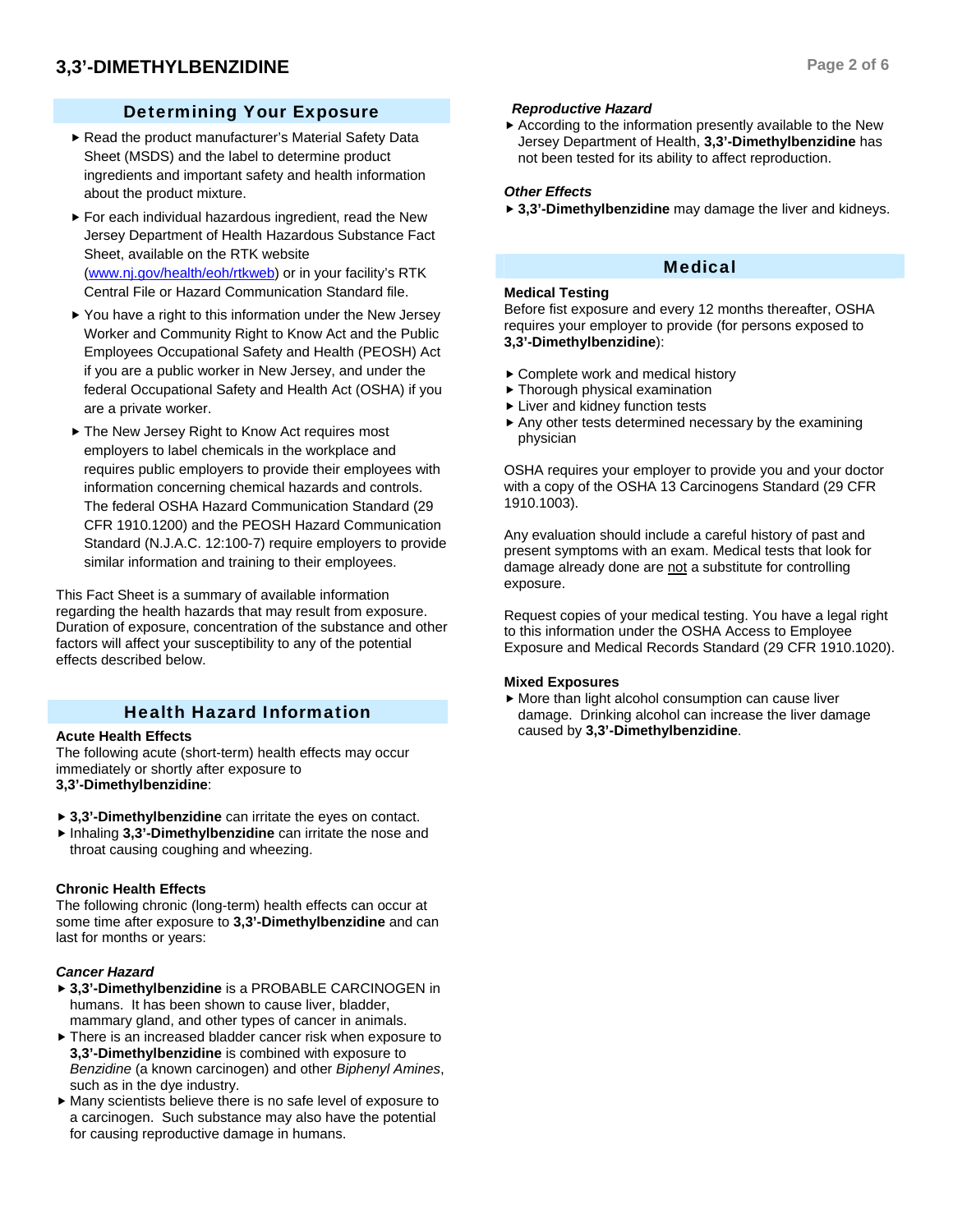### Determining Your Exposure

- Read the product manufacturer's Material Safety Data Sheet (MSDS) and the label to determine product ingredients and important safety and health information about the product mixture.
- $\blacktriangleright$  For each individual hazardous ingredient, read the New Jersey Department of Health Hazardous Substance Fact Sheet, available on the RTK website (www.nj.gov/health/eoh/rtkweb) or in your facility's RTK Central File or Hazard Communication Standard file.
- $\blacktriangleright$  You have a right to this information under the New Jersey Worker and Community Right to Know Act and the Public Employees Occupational Safety and Health (PEOSH) Act if you are a public worker in New Jersey, and under the federal Occupational Safety and Health Act (OSHA) if you are a private worker.
- ▶ The New Jersey Right to Know Act requires most employers to label chemicals in the workplace and requires public employers to provide their employees with information concerning chemical hazards and controls. The federal OSHA Hazard Communication Standard (29 CFR 1910.1200) and the PEOSH Hazard Communication Standard (N.J.A.C. 12:100-7) require employers to provide similar information and training to their employees.

This Fact Sheet is a summary of available information regarding the health hazards that may result from exposure. Duration of exposure, concentration of the substance and other factors will affect your susceptibility to any of the potential effects described below.

# Health Hazard Information

#### **Acute Health Effects**

The following acute (short-term) health effects may occur immediately or shortly after exposure to **3,3'-Dimethylbenzidine**:

- **► 3,3'-Dimethylbenzidine** can irritate the eyes on contact.
- **F** Inhaling **3,3'-Dimethylbenzidine** can irritate the nose and throat causing coughing and wheezing.

#### **Chronic Health Effects**

The following chronic (long-term) health effects can occur at some time after exposure to **3,3'-Dimethylbenzidine** and can last for months or years:

#### *Cancer Hazard*

- **▶ 3,3'-Dimethylbenzidine** is a PROBABLE CARCINOGEN in humans. It has been shown to cause liver, bladder, mammary gland, and other types of cancer in animals.
- $\triangleright$  There is an increased bladder cancer risk when exposure to **3,3'-Dimethylbenzidine** is combined with exposure to *Benzidine* (a known carcinogen) and other *Biphenyl Amines*, such as in the dye industry.
- $\blacktriangleright$  Many scientists believe there is no safe level of exposure to a carcinogen. Such substance may also have the potential for causing reproductive damage in humans.

#### *Reproductive Hazard*

 $\blacktriangleright$  According to the information presently available to the New Jersey Department of Health, **3,3'-Dimethylbenzidine** has not been tested for its ability to affect reproduction.

#### *Other Effects*

▶ 3,3'-Dimethylbenzidine may damage the liver and kidneys.

# Medical

#### **Medical Testing**

Before fist exposure and every 12 months thereafter, OSHA requires your employer to provide (for persons exposed to **3,3'-Dimethylbenzidine**):

- $\blacktriangleright$  Complete work and medical history
- ▶ Thorough physical examination
- $\blacktriangleright$  Liver and kidney function tests
- $\blacktriangleright$  Any other tests determined necessary by the examining physician

OSHA requires your employer to provide you and your doctor with a copy of the OSHA 13 Carcinogens Standard (29 CFR 1910.1003).

Any evaluation should include a careful history of past and present symptoms with an exam. Medical tests that look for damage already done are not a substitute for controlling exposure.

Request copies of your medical testing. You have a legal right to this information under the OSHA Access to Employee Exposure and Medical Records Standard (29 CFR 1910.1020).

#### **Mixed Exposures**

 $\blacktriangleright$  More than light alcohol consumption can cause liver damage. Drinking alcohol can increase the liver damage caused by **3,3'-Dimethylbenzidine**.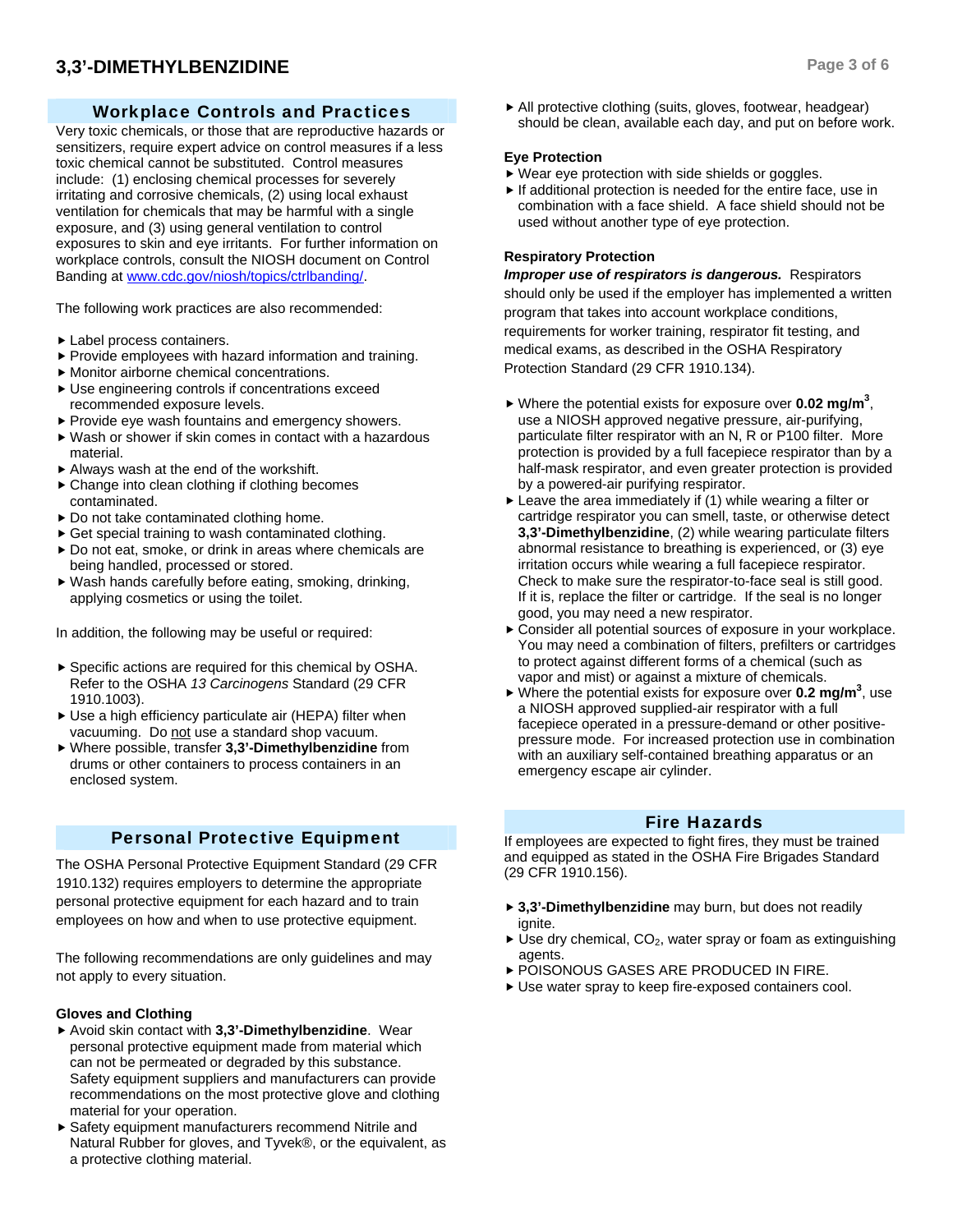# Workplace Controls and Practices

Very toxic chemicals, or those that are reproductive hazards or sensitizers, require expert advice on control measures if a less toxic chemical cannot be substituted. Control measures include: (1) enclosing chemical processes for severely irritating and corrosive chemicals, (2) using local exhaust ventilation for chemicals that may be harmful with a single exposure, and (3) using general ventilation to control exposures to skin and eye irritants. For further information on workplace controls, consult the NIOSH document on Control Banding at www.cdc.gov/niosh/topics/ctrlbanding/.

The following work practices are also recommended:

- $\blacktriangleright$  Label process containers.
- $\blacktriangleright$  Provide employees with hazard information and training.
- $\blacktriangleright$  Monitor airborne chemical concentrations.
- $\blacktriangleright$  Use engineering controls if concentrations exceed recommended exposure levels.
- $\blacktriangleright$  Provide eye wash fountains and emergency showers.
- $\blacktriangleright$  Wash or shower if skin comes in contact with a hazardous material.
- $\blacktriangleright$  Always wash at the end of the workshift.
- $\triangleright$  Change into clean clothing if clothing becomes contaminated.
- $\triangleright$  Do not take contaminated clothing home.
- $\triangleright$  Get special training to wash contaminated clothing.
- $\triangleright$  Do not eat, smoke, or drink in areas where chemicals are being handled, processed or stored.
- $\blacktriangleright$  Wash hands carefully before eating, smoking, drinking, applying cosmetics or using the toilet.

In addition, the following may be useful or required:

- $\blacktriangleright$  Specific actions are required for this chemical by OSHA. Refer to the OSHA *13 Carcinogens* Standard (29 CFR 1910.1003).
- $\triangleright$  Use a high efficiency particulate air (HEPA) filter when vacuuming. Do not use a standard shop vacuum.
- ▶ Where possible, transfer **3,3'-Dimethylbenzidine** from drums or other containers to process containers in an enclosed system.

# Personal Protective Equipment

The OSHA Personal Protective Equipment Standard (29 CFR 1910.132) requires employers to determine the appropriate personal protective equipment for each hazard and to train employees on how and when to use protective equipment.

The following recommendations are only guidelines and may not apply to every situation.

#### **Gloves and Clothing**

- ▶ Avoid skin contact with **3,3'-Dimethylbenzidine**. Wear personal protective equipment made from material which can not be permeated or degraded by this substance. Safety equipment suppliers and manufacturers can provide recommendations on the most protective glove and clothing material for your operation.
- ▶ Safety equipment manufacturers recommend Nitrile and Natural Rubber for gloves, and Tyvek®, or the equivalent, as a protective clothing material.

 $\blacktriangleright$  All protective clothing (suits, gloves, footwear, headgear) should be clean, available each day, and put on before work.

#### **Eye Protection**

- $\blacktriangleright$  Wear eye protection with side shields or goggles.
- $\blacktriangleright$  If additional protection is needed for the entire face, use in combination with a face shield. A face shield should not be used without another type of eye protection.

#### **Respiratory Protection**

*Improper use of respirators is dangerous.* Respirators should only be used if the employer has implemented a written program that takes into account workplace conditions, requirements for worker training, respirator fit testing, and medical exams, as described in the OSHA Respiratory Protection Standard (29 CFR 1910.134).

- ▶ Where the potential exists for exposure over **0.02 mg/m<sup>3</sup>**, use a NIOSH approved negative pressure, air-purifying, particulate filter respirator with an N, R or P100 filter. More protection is provided by a full facepiece respirator than by a half-mask respirator, and even greater protection is provided by a powered-air purifying respirator.
- $\blacktriangleright$  Leave the area immediately if (1) while wearing a filter or cartridge respirator you can smell, taste, or otherwise detect **3,3'-Dimethylbenzidine**, (2) while wearing particulate filters abnormal resistance to breathing is experienced, or (3) eye irritation occurs while wearing a full facepiece respirator. Check to make sure the respirator-to-face seal is still good. If it is, replace the filter or cartridge. If the seal is no longer good, you may need a new respirator.
- $\triangleright$  Consider all potential sources of exposure in your workplace. You may need a combination of filters, prefilters or cartridges to protect against different forms of a chemical (such as vapor and mist) or against a mixture of chemicals.
- ▶ Where the potential exists for exposure over 0.2 mg/m<sup>3</sup>, use a NIOSH approved supplied-air respirator with a full facepiece operated in a pressure-demand or other positivepressure mode. For increased protection use in combination with an auxiliary self-contained breathing apparatus or an emergency escape air cylinder.

#### Fire Hazards

If employees are expected to fight fires, they must be trained and equipped as stated in the OSHA Fire Brigades Standard (29 CFR 1910.156).

- ▶ 3,3'-Dimethylbenzidine may burn, but does not readily ignite.
- $\blacktriangleright$  Use dry chemical, CO<sub>2</sub>, water spray or foam as extinguishing agents.
- **POISONOUS GASES ARE PRODUCED IN FIRE.**
- $\blacktriangleright$  Use water spray to keep fire-exposed containers cool.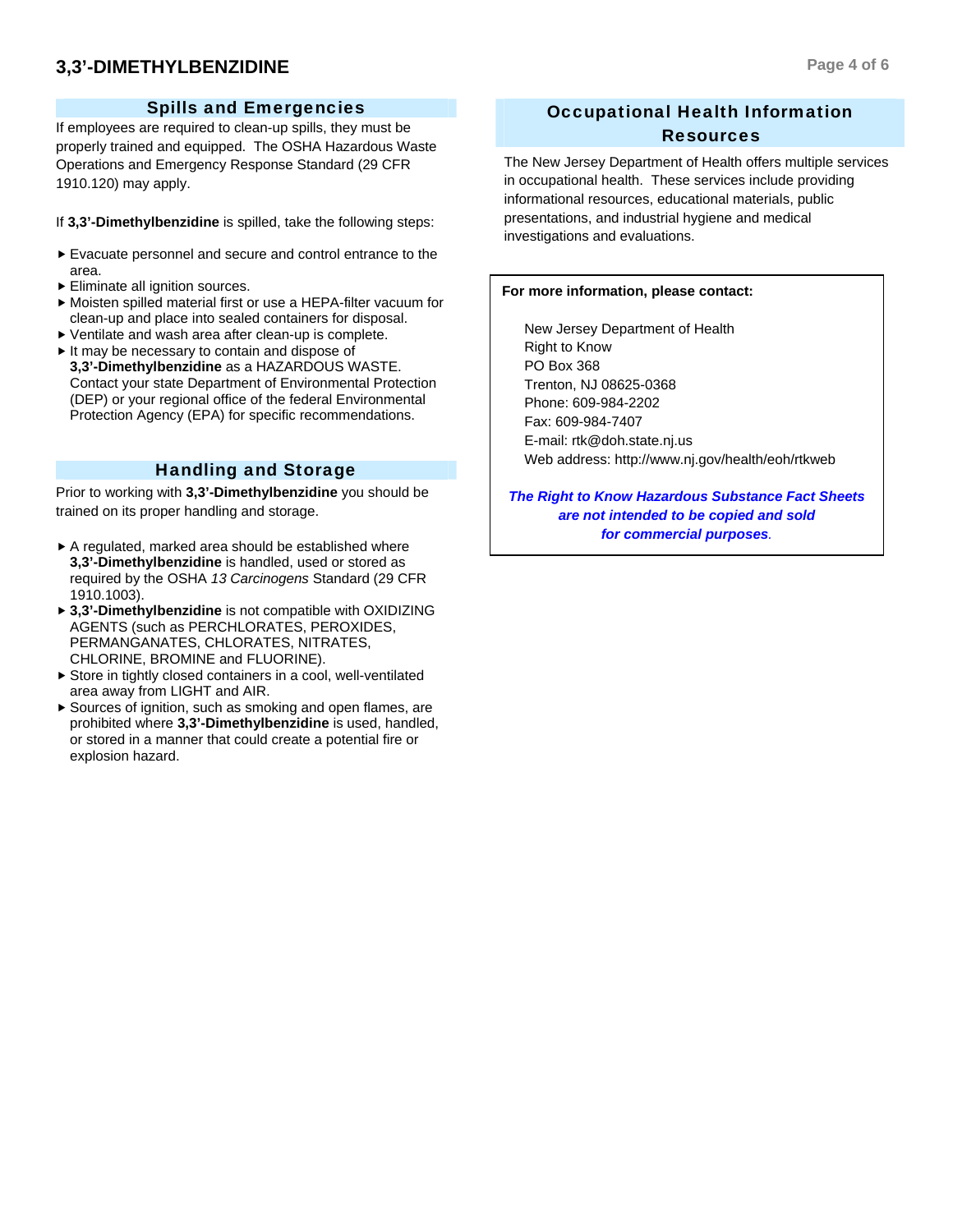# **3,3'-DIMETHYLBENZIDINE** Page 4 of 6

#### Spills and Emergencies

If employees are required to clean-up spills, they must be properly trained and equipped. The OSHA Hazardous Waste Operations and Emergency Response Standard (29 CFR 1910.120) may apply.

If **3,3'-Dimethylbenzidine** is spilled, take the following steps:

- $\blacktriangleright$  Evacuate personnel and secure and control entrance to the area.
- $\blacktriangleright$  Eliminate all ignition sources.
- $\triangleright$  Moisten spilled material first or use a HEPA-filter vacuum for clean-up and place into sealed containers for disposal.
- $\blacktriangleright$  Ventilate and wash area after clean-up is complete.
- $\blacktriangleright$  It may be necessary to contain and dispose of **3,3'-Dimethylbenzidine** as a HAZARDOUS WASTE. Contact your state Department of Environmental Protection (DEP) or your regional office of the federal Environmental Protection Agency (EPA) for specific recommendations.

# Handling and Storage

Prior to working with **3,3'-Dimethylbenzidine** you should be trained on its proper handling and storage.

- $\blacktriangleright$  A regulated, marked area should be established where **3,3'-Dimethylbenzidine** is handled, used or stored as required by the OSHA *13 Carcinogens* Standard (29 CFR 1910.1003).
- ▶ 3,3'-Dimethylbenzidine is not compatible with OXIDIZING AGENTS (such as PERCHLORATES, PEROXIDES, PERMANGANATES, CHLORATES, NITRATES, CHLORINE, BROMINE and FLUORINE).
- $\triangleright$  Store in tightly closed containers in a cool, well-ventilated area away from LIGHT and AIR.
- $\blacktriangleright$  Sources of ignition, such as smoking and open flames, are prohibited where **3,3'-Dimethylbenzidine** is used, handled, or stored in a manner that could create a potential fire or explosion hazard.

# Occupational Health Information Resources

The New Jersey Department of Health offers multiple services in occupational health. These services include providing informational resources, educational materials, public presentations, and industrial hygiene and medical investigations and evaluations.

#### **For more information, please contact:**

 New Jersey Department of Health Right to Know PO Box 368 Trenton, NJ 08625-0368 Phone: 609-984-2202 Fax: 609-984-7407 E-mail: rtk@doh.state.nj.us Web address: http://www.nj.gov/health/eoh/rtkweb

*The Right to Know Hazardous Substance Fact Sheets are not intended to be copied and sold for commercial purposes.*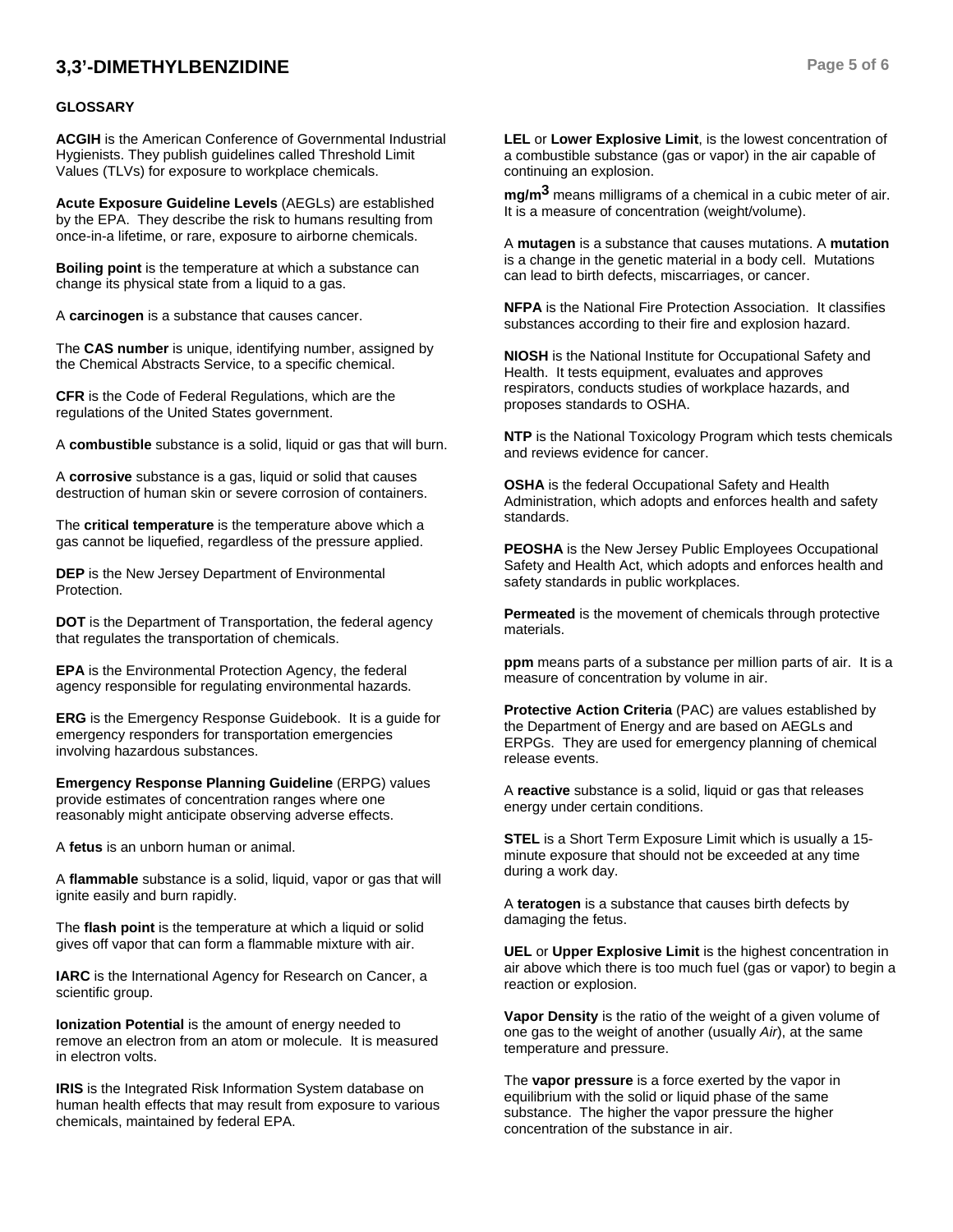# **3,3'-DIMETHYLBENZIDINE** Page 1 and  $P$  and  $P$  and  $P$  and  $P$  and  $P$  and  $P$  and  $P$  and  $P$  and  $P$  and  $P$  and  $P$  and  $P$  and  $P$  and  $P$  and  $P$  and  $P$  and  $P$  and  $P$  and  $P$  and  $P$  and  $P$  and  $P$  and  $P$  and  $P$

#### **GLOSSARY**

**ACGIH** is the American Conference of Governmental Industrial Hygienists. They publish guidelines called Threshold Limit Values (TLVs) for exposure to workplace chemicals.

**Acute Exposure Guideline Levels** (AEGLs) are established by the EPA. They describe the risk to humans resulting from once-in-a lifetime, or rare, exposure to airborne chemicals.

**Boiling point** is the temperature at which a substance can change its physical state from a liquid to a gas.

A **carcinogen** is a substance that causes cancer.

The **CAS number** is unique, identifying number, assigned by the Chemical Abstracts Service, to a specific chemical.

**CFR** is the Code of Federal Regulations, which are the regulations of the United States government.

A **combustible** substance is a solid, liquid or gas that will burn.

A **corrosive** substance is a gas, liquid or solid that causes destruction of human skin or severe corrosion of containers.

The **critical temperature** is the temperature above which a gas cannot be liquefied, regardless of the pressure applied.

**DEP** is the New Jersey Department of Environmental Protection.

**DOT** is the Department of Transportation, the federal agency that regulates the transportation of chemicals.

**EPA** is the Environmental Protection Agency, the federal agency responsible for regulating environmental hazards.

**ERG** is the Emergency Response Guidebook. It is a guide for emergency responders for transportation emergencies involving hazardous substances.

**Emergency Response Planning Guideline** (ERPG) values provide estimates of concentration ranges where one reasonably might anticipate observing adverse effects.

A **fetus** is an unborn human or animal.

A **flammable** substance is a solid, liquid, vapor or gas that will ignite easily and burn rapidly.

The **flash point** is the temperature at which a liquid or solid gives off vapor that can form a flammable mixture with air.

**IARC** is the International Agency for Research on Cancer, a scientific group.

**Ionization Potential** is the amount of energy needed to remove an electron from an atom or molecule. It is measured in electron volts.

**IRIS** is the Integrated Risk Information System database on human health effects that may result from exposure to various chemicals, maintained by federal EPA.

**LEL** or **Lower Explosive Limit**, is the lowest concentration of a combustible substance (gas or vapor) in the air capable of continuing an explosion.

**mg/m3** means milligrams of a chemical in a cubic meter of air. It is a measure of concentration (weight/volume).

A **mutagen** is a substance that causes mutations. A **mutation** is a change in the genetic material in a body cell. Mutations can lead to birth defects, miscarriages, or cancer.

**NFPA** is the National Fire Protection Association. It classifies substances according to their fire and explosion hazard.

**NIOSH** is the National Institute for Occupational Safety and Health. It tests equipment, evaluates and approves respirators, conducts studies of workplace hazards, and proposes standards to OSHA.

**NTP** is the National Toxicology Program which tests chemicals and reviews evidence for cancer.

**OSHA** is the federal Occupational Safety and Health Administration, which adopts and enforces health and safety standards.

**PEOSHA** is the New Jersey Public Employees Occupational Safety and Health Act, which adopts and enforces health and safety standards in public workplaces.

**Permeated** is the movement of chemicals through protective materials.

**ppm** means parts of a substance per million parts of air. It is a measure of concentration by volume in air.

**Protective Action Criteria** (PAC) are values established by the Department of Energy and are based on AEGLs and ERPGs. They are used for emergency planning of chemical release events.

A **reactive** substance is a solid, liquid or gas that releases energy under certain conditions.

**STEL** is a Short Term Exposure Limit which is usually a 15 minute exposure that should not be exceeded at any time during a work day.

A **teratogen** is a substance that causes birth defects by damaging the fetus.

**UEL** or **Upper Explosive Limit** is the highest concentration in air above which there is too much fuel (gas or vapor) to begin a reaction or explosion.

**Vapor Density** is the ratio of the weight of a given volume of one gas to the weight of another (usually *Air*), at the same temperature and pressure.

The **vapor pressure** is a force exerted by the vapor in equilibrium with the solid or liquid phase of the same substance. The higher the vapor pressure the higher concentration of the substance in air.